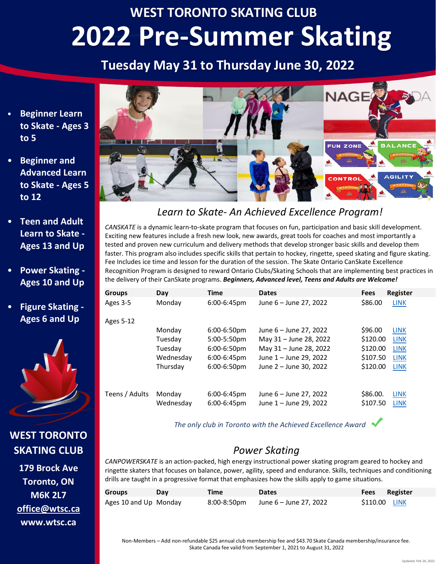# **WEST TORONTO SKATING CLUB 2022 Pre-Summer Skating**

## **Tuesday May 31 to Thursday June 30, 2022**

- **Beginner Learn to Skate - Ages 3 to 5**
- **Beginner and Advanced Learn to Skate - Ages 5 to 12**
- **Teen and Adult Learn to Skate - Ages 13 and Up**
- **Power Skating - Ages 10 and Up**
- **Figure Skating - Ages 6 and Up**



**WEST TORONTO SKATING CLUB**

**179 Brock Ave Toronto, ON M6K 2L7 office@wtsc.ca www.wtsc.ca**



## *Learn to Skate- An Achieved Excellence Program!*

*CANSKATE* is a dynamic learn-to-skate program that focuses on fun, participation and basic skill development. Exciting new features include a fresh new look, new awards, great tools for coaches and most importantly a tested and proven new curriculum and delivery methods that develop stronger basic skills and develop them faster. This program also includes specific skills that pertain to hockey, ringette, speed skating and figure skating. Fee Includes ice time and lesson for the duration of the session. The Skate Ontario CanSkate Excellence Recognition Program is designed to reward Ontario Clubs/Skating Schools that are implementing best practices in the delivery of their CanSkate programs. *Beginners, Advanced level, Teens and Adults are Welcome!*

| <b>Groups</b>  | Day                 | <b>Time</b>                   | <b>Dates</b>                                     | <b>Fees</b>          | <b>Register</b>            |
|----------------|---------------------|-------------------------------|--------------------------------------------------|----------------------|----------------------------|
| Ages 3-5       | Monday              | $6:00-6:45$ pm                | June 6 - June 27, 2022                           | \$86.00              | <b>LINK</b>                |
| Ages 5-12      |                     |                               |                                                  |                      |                            |
|                | Monday              | $6:00-6:50$ pm                | June 6 - June 27, 2022                           | \$96.00              | <b>LINK</b>                |
|                | Tuesday             | 5:00-5:50pm                   | May 31 - June 28, 2022                           | \$120.00             | <b>LINK</b>                |
|                | Tuesday             | 6:00-6:50pm                   | May 31 - June 28, 2022                           | \$120.00             | <b>LINK</b>                |
|                | Wednesday           | 6:00-6:45pm                   | June 1 - June 29, 2022                           | \$107.50             | <b>LINK</b>                |
|                | Thursday            | 6:00-6:50pm                   | June 2 - June 30, 2022                           | \$120.00             | <b>LINK</b>                |
| Teens / Adults | Monday<br>Wednesday | $6:00-6:45$ pm<br>6:00-6:45pm | June 6 - June 27, 2022<br>June 1 - June 29, 2022 | \$86.00.<br>\$107.50 | <b>LINK</b><br><b>LINK</b> |

*The only club in Toronto with the Achieved Excellence Award*

## *Power Skating*

*CANPOWERSKATE* is an action-packed, high energy instructional power skating program geared to hockey and ringette skaters that focuses on balance, power, agility, speed and endurance. Skills, techniques and conditioning drills are taught in a progressive format that emphasizes how the skills apply to game situations.

| Groups                | Dav | Time        | <b>Dates</b>           | Fees          | Register |
|-----------------------|-----|-------------|------------------------|---------------|----------|
| Ages 10 and Up Monday |     | 8:00-8:50pm | June 6 – June 27, 2022 | \$110.00 LINK |          |

Non-Members – Add non-refundable \$25 annual club membership fee and \$43.70 Skate Canada membership/insurance fee. Skate Canada fee valid from September 1, 2021 to August 31, 2022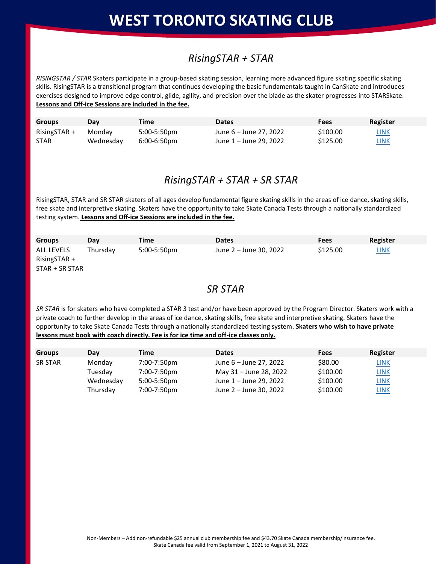# **WEST TORONTO SKATING CLUB**

## *RisingSTAR + STAR*

*RISINGSTAR / STAR* Skaters participate in a group-based skating session, learning more advanced figure skating specific skating skills. RisingSTAR is a transitional program that continues developing the basic fundamentals taught in CanSkate and introduces exercises designed to improve edge control, glide, agility, and precision over the blade as the skater progresses into STARSkate. **Lessons and Off-ice Sessions are included in the fee.**

| <b>Groups</b>  | Dav       | Time           | <b>Dates</b>           | Fees     | Register    |
|----------------|-----------|----------------|------------------------|----------|-------------|
| $RisingSTAR +$ | Mondav    | 5:00-5:50pm    | June 6 – June 27, 2022 | \$100.00 | <u>LINK</u> |
| <b>STAR</b>    | Wednesday | $6:00-6:50$ pm | June 1 – June 29, 2022 | \$125.00 | <u>LINK</u> |

### *RisingSTAR + STAR + SR STAR*

RisingSTAR, STAR and SR STAR skaters of all ages develop fundamental figure skating skills in the areas of ice dance, skating skills, free skate and interpretive skating. Skaters have the opportunity to take Skate Canada Tests through a nationally standardized testing system. **Lessons and Off-ice Sessions are included in the fee.**

| <b>Groups</b>                                           | Dav      | <b>Time</b> | <b>Dates</b>           | Fees     | Register    |
|---------------------------------------------------------|----------|-------------|------------------------|----------|-------------|
| <b>ALL LEVELS</b><br>$RisingSTAR +$<br>$STAR + SR STAR$ | Thursdav | 5:00-5:50pm | June 2 – June 30, 2022 | \$125.00 | <b>LINK</b> |

### *SR STAR*

*SR STAR* is for skaters who have completed a STAR 3 test and/or have been approved by the Program Director. Skaters work with a private coach to further develop in the areas of ice dance, skating skills, free skate and interpretive skating. Skaters have the opportunity to take Skate Canada Tests through a nationally standardized testing system. **Skaters who wish to have private lessons must book with coach directly. Fee is for ice time and off-ice classes only.**

| <b>Groups</b>  | Day       | Time           | <b>Dates</b>           | Fees     | Register    |
|----------------|-----------|----------------|------------------------|----------|-------------|
| <b>SR STAR</b> | Monday    | 7:00-7:50pm    | June 6 – June 27, 2022 | \$80.00  | <b>LINK</b> |
|                | Tuesdav   | 7:00-7:50pm    | May 31 – June 28, 2022 | \$100.00 | <b>LINK</b> |
|                | Wednesday | $5:00-5:50$ pm | June 1 – June 29, 2022 | \$100.00 | <b>LINK</b> |
|                | Thursday  | 7:00-7:50pm    | June 2 – June 30, 2022 | \$100.00 | <b>LINK</b> |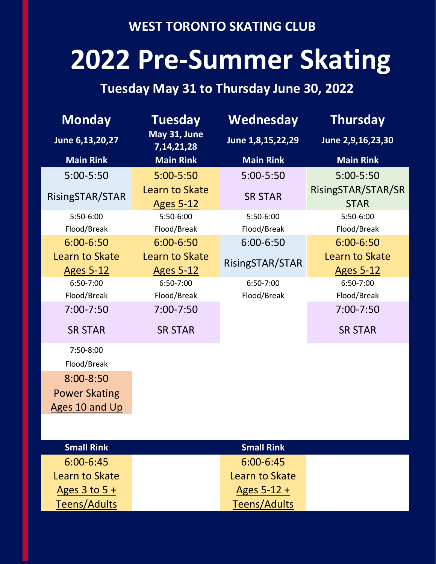## **WEST TORONTO SKATING CLUB**

# **2022 Pre-Summer Skating**

# **Tuesday May 31 to Thursday June 30, 2022**

| <b>Monday</b>                      | <b>Tuesday</b>                            | <b>Wednesday</b>    | <b>Thursday</b>                    |  |
|------------------------------------|-------------------------------------------|---------------------|------------------------------------|--|
| June 6,13,20,27                    | May 31, June<br>7, 14, 21, 28             | June 1,8,15,22,29   | June 2,9,16,23,30                  |  |
| <b>Main Rink</b>                   | <b>Main Rink</b>                          | <b>Main Rink</b>    | <b>Main Rink</b>                   |  |
| 5:00-5:50                          | $5:00 - 5:50$                             | 5:00-5:50           | 5:00-5:50                          |  |
| RisingSTAR/STAR                    | Learn to Skate<br><b>Ages 5-12</b>        | <b>SR STAR</b>      | RisingSTAR/STAR/SR<br><b>STAR</b>  |  |
| 5:50-6:00                          | 5:50-6:00                                 | 5:50-6:00           | 5:50-6:00                          |  |
| Flood/Break                        | Flood/Break                               | Flood/Break         | Flood/Break                        |  |
| 6:00-6:50                          | 6:00-6:50                                 | 6:00-6:50           | 6:00-6:50                          |  |
| Learn to Skate<br><u>Ages 5-12</u> | <b>Learn to Skate</b><br><b>Ages 5-12</b> | RisingSTAR/STAR     | Learn to Skate<br><b>Ages 5-12</b> |  |
| 6:50-7:00                          | 6:50-7:00                                 | 6:50-7:00           | 6:50-7:00                          |  |
| Flood/Break                        | Flood/Break                               | Flood/Break         | Flood/Break                        |  |
| 7:00-7:50                          | $7:00 - 7:50$                             |                     | $7:00 - 7:50$                      |  |
| <b>SR STAR</b>                     | <b>SR STAR</b>                            |                     | <b>SR STAR</b>                     |  |
| 7:50-8:00                          |                                           |                     |                                    |  |
| Flood/Break                        |                                           |                     |                                    |  |
| $8:00 - 8:50$                      |                                           |                     |                                    |  |
| <b>Power Skating</b>               |                                           |                     |                                    |  |
| <b>Ages 10 and Up</b>              |                                           |                     |                                    |  |
|                                    |                                           |                     |                                    |  |
| <b>Small Rink</b>                  |                                           | <b>Small Rink</b>   |                                    |  |
| $6:00 - 6:45$                      |                                           | 6:00-6:45           |                                    |  |
| Learn to Skate                     |                                           | Learn to Skate      |                                    |  |
| Ages $3$ to $5 +$                  |                                           | Ages $5-12 +$       |                                    |  |
| <b>Teens/Adults</b>                |                                           | <b>Teens/Adults</b> |                                    |  |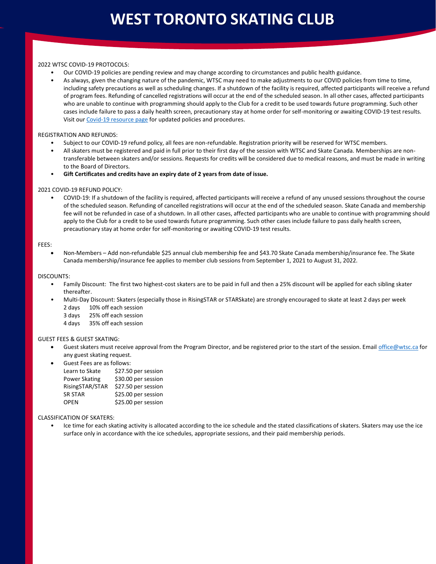#### 2022 WTSC COVID-19 PROTOCOLS:

- Our COVID-19 policies are pending review and may change according to circumstances and public health guidance.
- As always, given the changing nature of the pandemic, WTSC may need to make adjustments to our COVID policies from time to time, including safety precautions as well as scheduling changes. If a shutdown of the facility is required, affected participants will receive a refund of program fees. Refunding of cancelled registrations will occur at the end of the scheduled season. In all other cases, affected participants who are unable to continue with programming should apply to the Club for a credit to be used towards future programming. Such other cases include failure to pass a daily health screen, precautionary stay at home order for self-monitoring or awaiting COVID-19 test results. Visit ou[r Covid-19 resource page](https://www.wtsc.ca/pages/programs/Covid19-Resources/) for updated policies and procedures.

#### REGISTRATION AND REFUNDS:

- Subject to our COVID-19 refund policy, all fees are non-refundable. Registration priority will be reserved for WTSC members.
- All skaters must be registered and paid in full prior to their first day of the session with WTSC and Skate Canada. Memberships are nontransferable between skaters and/or sessions. Requests for credits will be considered due to medical reasons, and must be made in writing to the Board of Directors.
- **Gift Certificates and credits have an expiry date of 2 years from date of issue.**

#### 2021 COVID-19 REFUND POLICY:

• COVID-19: If a shutdown of the facility is required, affected participants will receive a refund of any unused sessions throughout the course of the scheduled season. Refunding of cancelled registrations will occur at the end of the scheduled season. Skate Canada and membership fee will not be refunded in case of a shutdown. In all other cases, affected participants who are unable to continue with programming should apply to the Club for a credit to be used towards future programming. Such other cases include failure to pass daily health screen, precautionary stay at home order for self-monitoring or awaiting COVID-19 test results.

#### FEES:

• Non-Members – Add non-refundable \$25 annual club membership fee and \$43.70 Skate Canada membership/insurance fee. The Skate Canada membership/insurance fee applies to member club sessions from September 1, 2021 to August 31, 2022.

#### DISCOUNTS:

- Family Discount: The first two highest-cost skaters are to be paid in full and then a 25% discount will be applied for each sibling skater thereafter.
- Multi-Day Discount: Skaters (especially those in RisingSTAR or STARSkate) are strongly encouraged to skate at least 2 days per week
	- 2 days 10% off each session
	- 3 days 25% off each session
	- 4 days 35% off each session

#### GUEST FEES & GUEST SKATING:

- Guest skaters must receive approval from the Program Director, and be registered prior to the start of the session. Emai[l office@wtsc.ca](mailto:office@wtsc.ca) for any guest skating request.
- Guest Fees are as follows: Learn to Skate \$27.50 per session Power Skating \$30.00 per session RisingSTAR/STAR \$27.50 per session SR STAR \$25.00 per session OPEN \$25.00 per session

#### CLASSIFICATION OF SKATERS:

• Ice time for each skating activity is allocated according to the ice schedule and the stated classifications of skaters. Skaters may use the ice surface only in accordance with the ice schedules, appropriate sessions, and their paid membership periods.